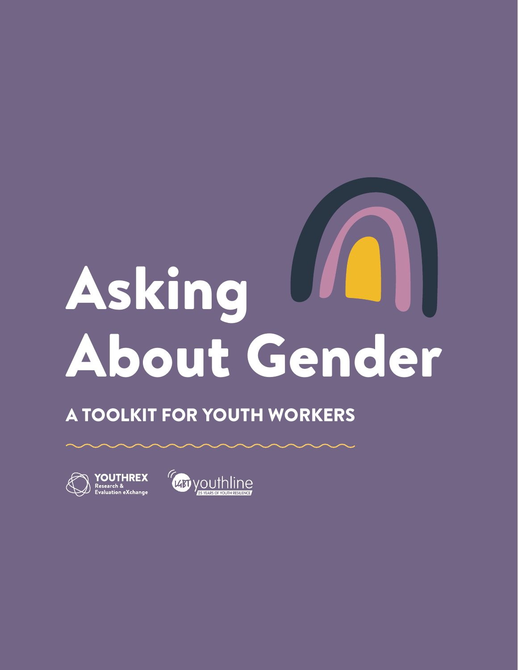# Asking About Gender

## A TOOLKIT FOR YOUTH WORKERS



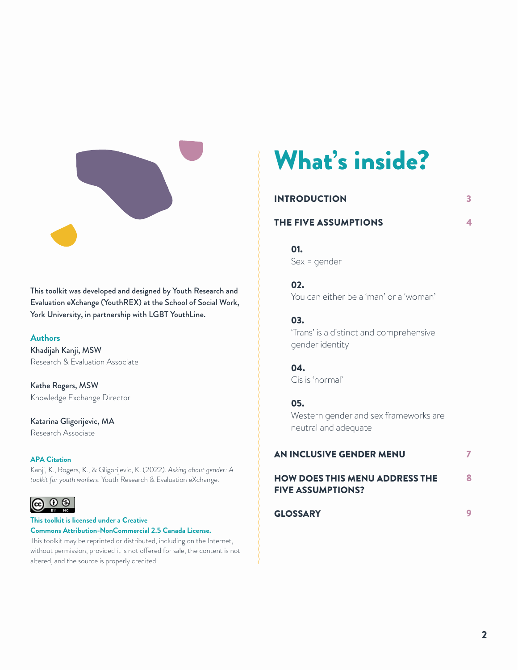

This toolkit was developed and designed by Youth Research and Evaluation eXchange (YouthREX) at the School of Social Work, York University, in partnership with LGBT YouthLine.

#### **Authors**

Khadijah Kanji, MSW Research & Evaluation Associate

Kathe Rogers, MSW Knowledge Exchange Director

Katarina Gligorijevic, MA Research Associate

#### **APA Citation**

Kanji, K., Rogers, K., & Gligorijevic, K. (2022). *Asking about gender: A toolkit for youth workers*. Youth Research & Evaluation eXchange.

#### $\circ$  $(cc)$

**This toolkit is licensed under a Creative Commons Attribution-NonCommercial 2.5 Canada License.** 

This toolkit may be reprinted or distributed, including on the Internet, without permission, provided it is not offered for sale, the content is not altered, and the source is properly credited.

# What's inside?

| <b>INTRODUCTION</b><br>THE FIVE ASSUMPTIONS |    |  |  |
|---------------------------------------------|----|--|--|
|                                             |    |  |  |
|                                             | יי |  |  |

3

4

02.

You can either be a 'man' or a 'woman'

#### 03.

'Trans' is a distinct and comprehensive gender identity

## 04.

Cis is 'normal'

#### 05.

Western gender and sex frameworks are neutral and adequate

| AN INCLUSIVE GENDER MENU                                          |  |
|-------------------------------------------------------------------|--|
| <b>HOW DOES THIS MENU ADDRESS THE</b><br><b>FIVE ASSUMPTIONS?</b> |  |
| <b>GLOSSARY</b>                                                   |  |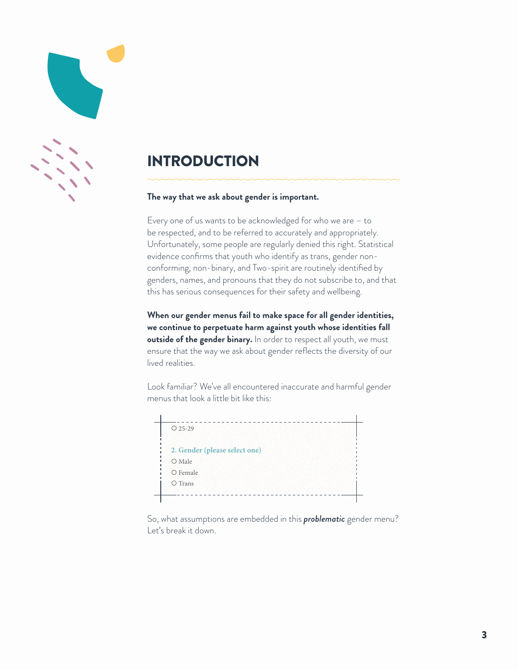## INTRODUCTION

#### **The way that we ask about gender is important.**

Every one of us wants to be acknowledged for who we are – to be respected, and to be referred to accurately and appropriately. Unfortunately, some people are regularly denied this right. Statistical evidence confirms that youth who identify as trans, gender nonconforming, non-binary, and Two-spirit are routinely identified by genders, names, and pronouns that they do not subscribe to, and that this has serious consequences for their safety and wellbeing.

**When our gender menus fail to make space for all gender identities, we continue to perpetuate harm against youth whose identities fall outside of the gender binary.** In order to respect all youth, we must ensure that the way we ask about gender reflects the diversity of our lived realities.

Look familiar? We've all encountered inaccurate and harmful gender menus that look a little bit like this:



So, what assumptions are embedded in this *problematic* gender menu? Let's break it down.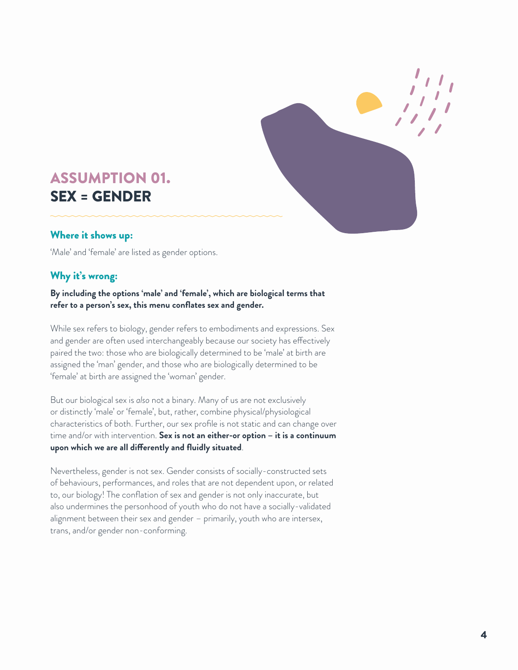

## ASSUMPTION 01. SEX = GENDER

#### Where it shows up:

'Male' and 'female' are listed as gender options.

## Why it's wrong:

#### **By including the options 'male' and 'female', which are biological terms that refer to a person's sex, this menu conflates sex and gender.**

While sex refers to biology, gender refers to embodiments and expressions. Sex and gender are often used interchangeably because our society has effectively paired the two: those who are biologically determined to be 'male' at birth are assigned the 'man' gender, and those who are biologically determined to be 'female' at birth are assigned the 'woman' gender.

But our biological sex is *also* not a binary. Many of us are not exclusively or distinctly 'male' or 'female', but, rather, combine physical/physiological characteristics of both. Further, our sex profile is not static and can change over time and/or with intervention. **Sex is not an either-or option – it is a continuum upon which we are all differently and fluidly situated**.

Nevertheless, gender is not sex. Gender consists of socially-constructed sets of behaviours, performances, and roles that are not dependent upon, or related to, our biology! The conflation of sex and gender is not only inaccurate, but also undermines the personhood of youth who do not have a socially-validated alignment between their sex and gender – primarily, youth who are intersex, trans, and/or gender non-conforming.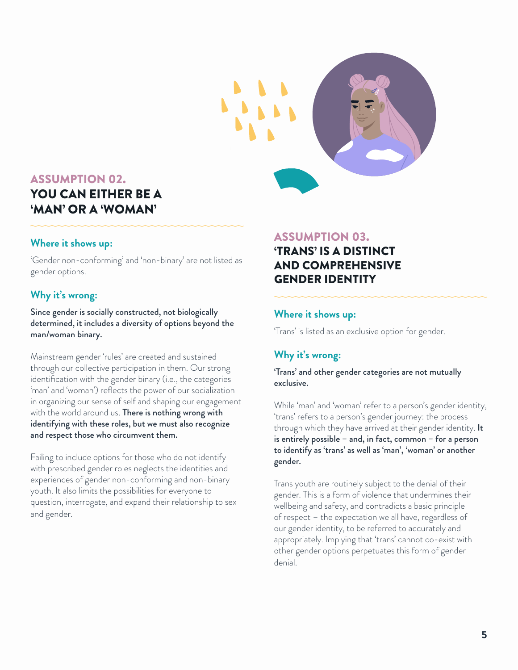

## ASSUMPTION 02. YOU CAN EITHER BE A 'MAN' OR A 'WOMAN'

#### **Where it shows up:**

'Gender non-conforming' and 'non-binary' are not listed as gender options.

#### **Why it's wrong:**

Since gender is socially constructed, not biologically determined, it includes a diversity of options beyond the man/woman binary.

Mainstream gender 'rules' are created and sustained through our collective participation in them. Our strong identification with the gender binary (i.e., the categories 'man' and 'woman') reflects the power of our socialization in organizing our sense of self and shaping our engagement with the world around us. There is nothing wrong with identifying with these roles, but we must also recognize and respect those who circumvent them.

Failing to include options for those who do not identify with prescribed gender roles neglects the identities and experiences of gender non-conforming and non-binary youth. It also limits the possibilities for everyone to question, interrogate, and expand their relationship to sex and gender.

#### ASSUMPTION 03.

## 'TRANS' IS A DISTINCT AND COMPREHENSIVE GENDER IDENTITY

#### **Where it shows up:**

'Trans' is listed as an exclusive option for gender.

## **Why it's wrong:**

'Trans' and other gender categories are not mutually exclusive.

While 'man' and 'woman' refer to a person's gender identity, 'trans' refers to a person's gender journey: the process through which they have arrived at their gender identity. It is entirely possible – and, in fact, common – for a person to identify as 'trans' as well as 'man', 'woman' or another gender.

Trans youth are routinely subject to the denial of their gender. This is a form of violence that undermines their wellbeing and safety, and contradicts a basic principle of respect – the expectation we all have, regardless of our gender identity, to be referred to accurately and appropriately. Implying that 'trans' cannot co-exist with other gender options perpetuates this form of gender denial.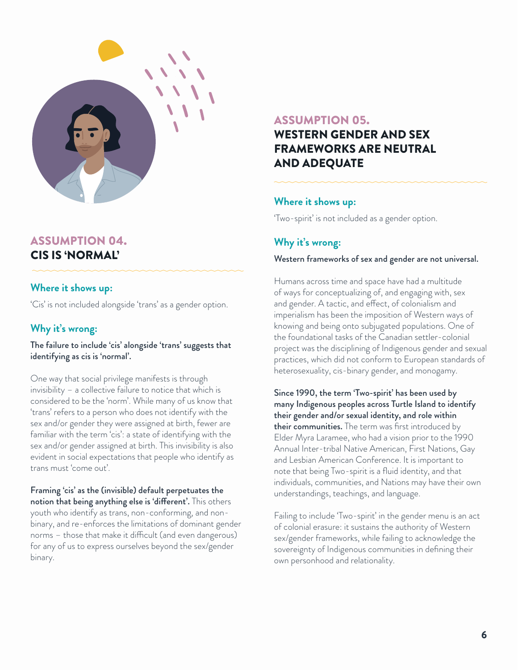

#### ASSUMPTION 04. CIS IS 'NORMAL'

#### **Where it shows up:**

'Cis' is not included alongside 'trans' as a gender option.

#### **Why it's wrong:**

The failure to include 'cis' alongside 'trans' suggests that identifying as cis is 'normal'.

One way that social privilege manifests is through invisibility – a collective failure to notice that which is considered to be the 'norm'. While many of us know that 'trans' refers to a person who does not identify with the sex and/or gender they were assigned at birth, fewer are familiar with the term 'cis': a state of identifying with the sex and/or gender assigned at birth. This invisibility is also evident in social expectations that people who identify as trans must 'come out'.

Framing 'cis' as the (invisible) default perpetuates the notion that being anything else is 'different'. This others youth who identify as trans, non-conforming, and nonbinary, and re-enforces the limitations of dominant gender norms – those that make it difficult (and even dangerous) for any of us to express ourselves beyond the sex/gender binary.

#### ASSUMPTION 05.

## WESTERN GENDER AND SEX FRAMEWORKS ARE NEUTRAL AND ADEQUATE

#### **Where it shows up:**

'Two-spirit' is not included as a gender option.

#### **Why it's wrong:**

#### Western frameworks of sex and gender are not universal.

Humans across time and space have had a multitude of ways for conceptualizing of, and engaging with, sex and gender. A tactic, and effect, of colonialism and imperialism has been the imposition of Western ways of knowing and being onto subjugated populations. One of the foundational tasks of the Canadian settler-colonial project was the disciplining of Indigenous gender and sexual practices, which did not conform to European standards of heterosexuality, cis-binary gender, and monogamy.

Since 1990, the term 'Two-spirit' has been used by many Indigenous peoples across Turtle Island to identify their gender and/or sexual identity, and role within their communities. The term was first introduced by Elder Myra Laramee, who had a vision prior to the 1990 Annual Inter-tribal Native American, First Nations, Gay and Lesbian American Conference. It is important to note that being Two-spirit is a fluid identity, and that individuals, communities, and Nations may have their own understandings, teachings, and language.

Failing to include 'Two-spirit' in the gender menu is an act of colonial erasure: it sustains the authority of Western sex/gender frameworks, while failing to acknowledge the sovereignty of Indigenous communities in defining their own personhood and relationality.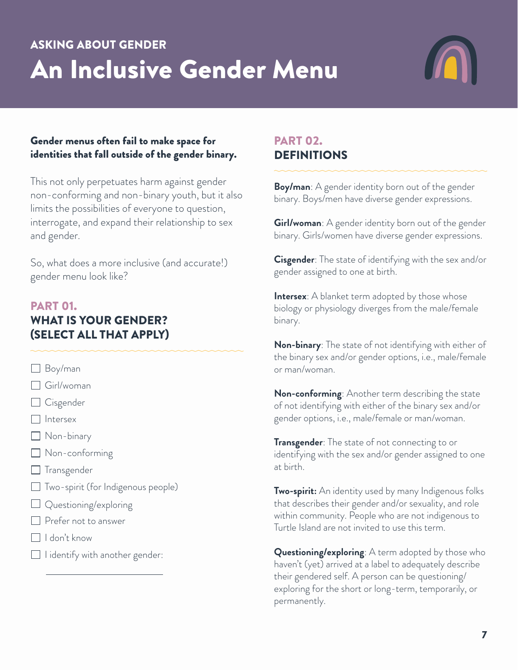## ASKING ABOUT GENDER An Inclusive Gender Menu



#### Gender menus often fail to make space for identities that fall outside of the gender binary.

This not only perpetuates harm against gender non-conforming and non-binary youth, but it also limits the possibilities of everyone to question, interrogate, and expand their relationship to sex and gender.

So, what does a more inclusive (and accurate!) gender menu look like?

## PART 01. WHAT IS YOUR GENDER? (SELECT ALL THAT APPLY)

- Boy/man
- Girl/woman
- □ Cisgender
- $\Box$  Intersex
- Non-binary
- Non-conforming
- $\Box$  Transgender
- Two-spirit (for Indigenous people)
- Questioning/exploring
- **Prefer not to answer**
- I don't know
- $\Box$  I identify with another gender:

## PART 02. DEFINITIONS

**Boy/man**: A gender identity born out of the gender binary. Boys/men have diverse gender expressions.

**Girl/woman**: A gender identity born out of the gender binary. Girls/women have diverse gender expressions.

**Cisgender**: The state of identifying with the sex and/or gender assigned to one at birth.

**Intersex**: A blanket term adopted by those whose biology or physiology diverges from the male/female binary.

**Non-binary**: The state of not identifying with either of the binary sex and/or gender options, i.e., male/female or man/woman.

**Non-conforming**: Another term describing the state of not identifying with either of the binary sex and/or gender options, i.e., male/female or man/woman.

**Transgender**: The state of not connecting to or identifying with the sex and/or gender assigned to one at birth.

**Two-spirit:** An identity used by many Indigenous folks that describes their gender and/or sexuality, and role within community. People who are not indigenous to Turtle Island are not invited to use this term.

**Questioning/exploring**: A term adopted by those who haven't (yet) arrived at a label to adequately describe their gendered self. A person can be questioning/ exploring for the short or long-term, temporarily, or permanently.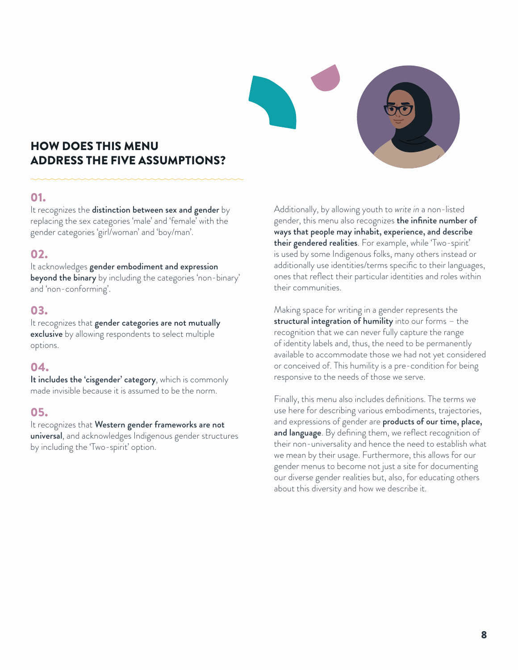## HOW DOES THIS MENU ADDRESS THE FIVE ASSUMPTIONS?

#### 01.

It recognizes the distinction between sex and gender by replacing the sex categories 'male' and 'female' with the gender categories 'girl/woman' and 'boy/man'.

#### 02.

It acknowledges gender embodiment and expression

beyond the binary by including the categories 'non-binary' and 'non-conforming'.

#### 03.

It recognizes that gender categories are not mutually exclusive by allowing respondents to select multiple options.

#### 04.

It includes the 'cisgender' category, which is commonly made invisible because it is assumed to be the norm.

#### 05.

It recognizes that Western gender frameworks are not universal, and acknowledges Indigenous gender structures by including the 'Two-spirit' option.

Additionally, by allowing youth to *write in* a non-listed gender, this menu also recognizes **the infinite number of** ways that people may inhabit, experience, and describe their gendered realities. For example, while 'Two-spirit' is used by some Indigenous folks, many others instead or additionally use identities/terms specific to their languages, ones that reflect their particular identities and roles within their communities.

Making space for writing in a gender represents the structural integration of humility into our forms - the recognition that we can never fully capture the range of identity labels and, thus, the need to be permanently available to accommodate those we had not yet considered or conceived of. This humility is a pre-condition for being responsive to the needs of those we serve.

Finally, this menu also includes definitions. The terms we use here for describing various embodiments, trajectories, and expressions of gender are **products of our time, place,** and language. By defining them, we reflect recognition of their non-universality and hence the need to establish what we mean by their usage. Furthermore, this allows for our gender menus to become not just a site for documenting our diverse gender realities but, also, for educating others about this diversity and how we describe it.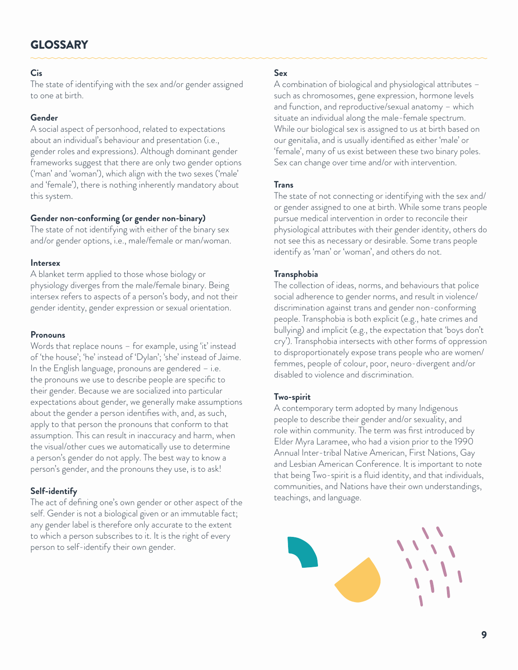## GLOSSARY

#### **Cis**

The state of identifying with the sex and/or gender assigned to one at birth.

#### **Gender**

A social aspect of personhood, related to expectations about an individual's behaviour and presentation (i.e., gender roles and expressions). Although dominant gender frameworks suggest that there are only two gender options ('man' and 'woman'), which align with the two sexes ('male' and 'female'), there is nothing inherently mandatory about this system.

#### **Gender non-conforming (or gender non-binary)**

The state of not identifying with either of the binary sex and/or gender options, i.e., male/female or man/woman.

#### **Intersex**

A blanket term applied to those whose biology or physiology diverges from the male/female binary. Being intersex refers to aspects of a person's body, and not their gender identity, gender expression or sexual orientation.

#### **Pronouns**

Words that replace nouns – for example, using 'it' instead of 'the house'; 'he' instead of 'Dylan'; 'she' instead of Jaime. In the English language, pronouns are gendered – i.e. the pronouns we use to describe people are specific to their gender. Because we are socialized into particular expectations about gender, we generally make assumptions about the gender a person identifies with, and, as such, apply to that person the pronouns that conform to that assumption. This can result in inaccuracy and harm, when the visual/other cues we automatically use to determine a person's gender do not apply. The best way to know a person's gender, and the pronouns they use, is to ask!

#### **Self-identify**

The act of defining one's own gender or other aspect of the self. Gender is not a biological given or an immutable fact; any gender label is therefore only accurate to the extent to which a person subscribes to it. It is the right of every person to self-identify their own gender.

#### **Sex**

A combination of biological and physiological attributes – such as chromosomes, gene expression, hormone levels and function, and reproductive/sexual anatomy – which situate an individual along the male-female spectrum. While our biological sex is assigned to us at birth based on our genitalia, and is usually identified as either 'male' or 'female', many of us exist between these two binary poles. Sex can change over time and/or with intervention.

#### **Trans**

The state of not connecting or identifying with the sex and/ or gender assigned to one at birth. While some trans people pursue medical intervention in order to reconcile their physiological attributes with their gender identity, others do not see this as necessary or desirable. Some trans people identify as 'man' or 'woman', and others do not.

#### **Transphobia**

The collection of ideas, norms, and behaviours that police social adherence to gender norms, and result in violence/ discrimination against trans and gender non-conforming people. Transphobia is both explicit (e.g., hate crimes and bullying) and implicit (e.g., the expectation that 'boys don't cry'). Transphobia intersects with other forms of oppression to disproportionately expose trans people who are women/ femmes, people of colour, poor, neuro-divergent and/or disabled to violence and discrimination.

#### **Two-spirit**

A contemporary term adopted by many Indigenous people to describe their gender and/or sexuality, and role within community. The term was first introduced by Elder Myra Laramee, who had a vision prior to the 1990 Annual Inter-tribal Native American, First Nations, Gay and Lesbian American Conference. It is important to note that being Two-spirit is a fluid identity, and that individuals, communities, and Nations have their own understandings, teachings, and language.